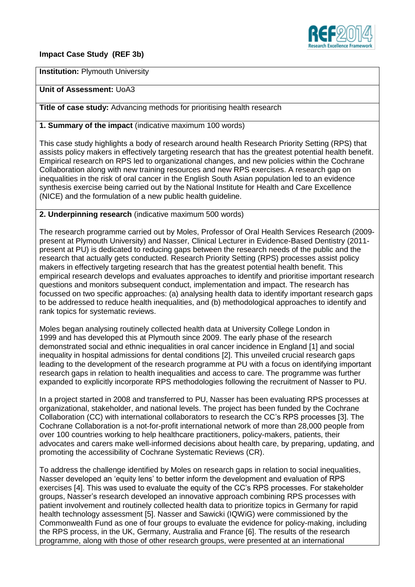

# **Impact Case Study (REF 3b)**

**Institution: Plymouth University** 

### **Unit of Assessment:** UoA3

**Title of case study:** Advancing methods for prioritising health research

### **1. Summary of the impact** (indicative maximum 100 words)

This case study highlights a body of research around health Research Priority Setting (RPS) that assists policy makers in effectively targeting research that has the greatest potential health benefit. Empirical research on RPS led to organizational changes, and new policies within the Cochrane Collaboration along with new training resources and new RPS exercises. A research gap on inequalities in the risk of oral cancer in the English South Asian population led to an evidence synthesis exercise being carried out by the National Institute for Health and Care Excellence (NICE) and the formulation of a new public health guideline.

## **2. Underpinning research** (indicative maximum 500 words)

The research programme carried out by Moles, Professor of Oral Health Services Research (2009 present at Plymouth University) and Nasser, Clinical Lecturer in Evidence-Based Dentistry (2011 present at PU) is dedicated to reducing gaps between the research needs of the public and the research that actually gets conducted. Research Priority Setting (RPS) processes assist policy makers in effectively targeting research that has the greatest potential health benefit. This empirical research develops and evaluates approaches to identify and prioritise important research questions and monitors subsequent conduct, implementation and impact. The research has focussed on two specific approaches: (a) analysing health data to identify important research gaps to be addressed to reduce health inequalities, and (b) methodological approaches to identify and rank topics for systematic reviews.

Moles began analysing routinely collected health data at University College London in 1999 and has developed this at Plymouth since 2009. The early phase of the research demonstrated social and ethnic inequalities in oral cancer incidence in England [1] and social inequality in hospital admissions for dental conditions [2]. This unveiled crucial research gaps leading to the development of the research programme at PU with a focus on identifying important research gaps in relation to health inequalities and access to care. The programme was further expanded to explicitly incorporate RPS methodologies following the recruitment of Nasser to PU.

In a project started in 2008 and transferred to PU, Nasser has been evaluating RPS processes at organizational, stakeholder, and national levels. The project has been funded by the Cochrane Collaboration (CC) with international collaborators to research the CC's RPS processes [3]. The Cochrane Collaboration is a not-for-profit international network of more than 28,000 people from [over 100 countries](http://www.cochrane.org/sites/default/files/uploads/images/International%20Activity%20poster%202012.pdf) working to help healthcare practitioners, policy-makers, patients, their advocates and carers make well-informed decisions about health care, by preparing, updating, and promoting the accessibility of [Cochrane Systematic Reviews](http://www.cochrane.org/cochrane-reviews) (CR).

To address the challenge identified by Moles on research gaps in relation to social inequalities, Nasser developed an 'equity lens' to better inform the development and evaluation of RPS exercises [4]. This was used to evaluate the equity of the CC's RPS processes. For stakeholder groups, Nasser's research developed an innovative approach combining RPS processes with patient involvement and routinely collected health data to prioritize topics in Germany for rapid health technology assessment [5]. Nasser and Sawicki (IQWiG) were commissioned by the Commonwealth Fund as one of four groups to evaluate the evidence for policy-making, including the RPS process, in the UK, Germany, Australia and France [6]. The results of the research programme, along with those of other research groups, were presented at an international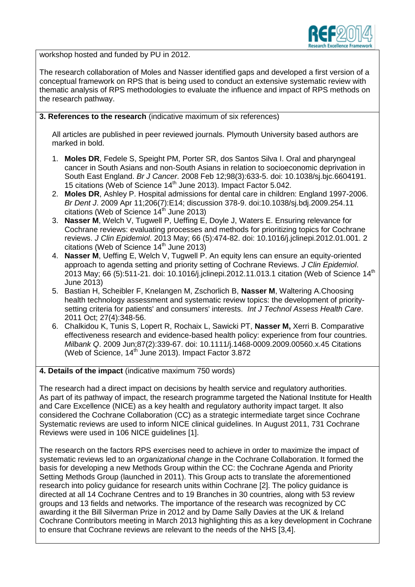

workshop hosted and funded by PU in 2012.

The research collaboration of Moles and Nasser identified gaps and developed a first version of a conceptual framework on RPS that is being used to conduct an extensive systematic review with thematic analysis of RPS methodologies to evaluate the influence and impact of RPS methods on the research pathway.

### **3. References to the research** (indicative maximum of six references)

All articles are published in peer reviewed journals. Plymouth University based authors are marked in bold.

- 1. **Moles DR**, Fedele S, Speight PM, Porter SR, dos Santos Silva I. Oral and pharyngeal cancer in South Asians and non-South Asians in relation to socioeconomic deprivation in South East England. *Br J Cancer*. 2008 Feb 12;98(3):633-5. doi: 10.1038/sj.bjc.6604191. 15 citations (Web of Science 14<sup>th</sup> June 2013). Impact Factor 5.042.
- 2. **Moles DR**, Ashley P. Hospital admissions for dental care in children: England 1997-2006. *Br Dent J*. 2009 Apr 11;206(7):E14; discussion 378-9. doi:10.1038/sj.bdj.2009.254.11 citations (Web of Science  $14<sup>th</sup>$  June 2013)
- 3. **Nasser M**, Welch V, Tugwell P, Ueffing E, Doyle J, Waters E. Ensuring relevance for Cochrane reviews: evaluating processes and methods for prioritizing topics for Cochrane reviews. *J Clin Epidemiol*. 2013 May; 66 (5):474-82. doi: 10.1016/j.jclinepi.2012.01.001. 2 citations (Web of Science 14<sup>th</sup> June 2013)
- 4. **Nasser M**, Ueffing E, Welch V, Tugwell P. An equity lens can ensure an equity-oriented approach to agenda setting and priority setting of Cochrane Reviews. *J Clin Epidemiol*. 2013 May; 66 (5):511-21. doi: 10.1016/j.jclinepi.2012.11.013.1 citation (Web of Science 14<sup>th</sup> June 2013)
- 5. Bastian H, Scheibler F, Knelangen M, Zschorlich B, **Nasser M**, Waltering A.Choosing health technology assessment and systematic review topics: the development of prioritysetting criteria for patients' and consumers' interests. *Int J Technol Assess Health Care*. 2011 Oct; 27(4):348-56.
- 6. Chalkidou K, Tunis S, Lopert R, Rochaix L, Sawicki PT, **Nasser M,** Xerri B. Comparative effectiveness research and evidence-based health policy: experience from four countries. *Milbank Q*. 2009 Jun;87(2):339-67. doi: 10.1111/j.1468-0009.2009.00560.x.45 Citations (Web of Science, 14<sup>th</sup> June 2013). Impact Factor 3.872
- **4. Details of the impact** (indicative maximum 750 words)

The research had a direct impact on decisions by health service and regulatory authorities. As part of its pathway of impact, the research programme targeted the National Institute for Health and Care Excellence (NICE) as a key health and regulatory authority impact target. It also considered the Cochrane Collaboration (CC) as a strategic intermediate target since Cochrane Systematic reviews are used to inform NICE clinical guidelines. In August 2011, 731 Cochrane Reviews were used in 106 NICE guidelines [1].

The research on the factors RPS exercises need to achieve in order to maximize the impact of systematic reviews led to an *organizational change* in the Cochrane Collaboration. It formed the basis for developing a new Methods Group within the CC: the Cochrane Agenda and Priority Setting Methods Group (launched in 2011). This Group acts to translate the aforementioned research into policy guidance for research units within Cochrane [2]. The policy guidance is directed at all 14 Cochrane Centres and to 19 Branches in 30 countries, along with 53 review groups and 13 fields and networks. The importance of the research was recognized by CC awarding it the Bill Silverman Prize in 2012 and by Dame Sally Davies at the UK & Ireland Cochrane Contributors meeting in March 2013 highlighting this as a key development in Cochrane to ensure that Cochrane reviews are relevant to the needs of the NHS [3,4].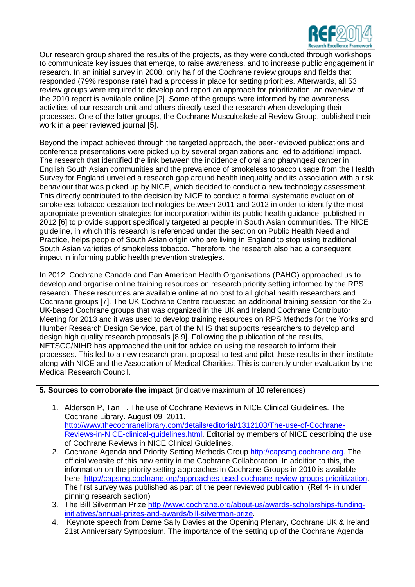

Our research group shared the results of the projects, as they were conducted through workshops to communicate key issues that emerge, to raise awareness, and to increase public engagement in research. In an initial survey in 2008, only half of the Cochrane review groups and fields that responded (79% response rate) had a process in place for setting priorities. Afterwards, all 53 review groups were required to develop and report an approach for prioritization: an overview of the 2010 report is available online [2]. Some of the groups were informed by the awareness activities of our research unit and others directly used the research when developing their processes. One of the latter groups, the Cochrane Musculoskeletal Review Group, published their work in a peer reviewed journal [5].

Beyond the impact achieved through the targeted approach, the peer-reviewed publications and conference presentations were picked up by several organizations and led to additional impact. The research that identified the link between the incidence of oral and pharyngeal cancer in English South Asian communities and the prevalence of smokeless tobacco usage from the Health Survey for England unveiled a research gap around health inequality and its association with a risk behaviour that was picked up by NICE, which decided to conduct a new technology assessment. This directly contributed to the decision by NICE to conduct a formal systematic evaluation of smokeless tobacco cessation technologies between 2011 and 2012 in order to identify the most appropriate prevention strategies for incorporation within its public health guidance published in 2012 [6] to provide support specifically targeted at people in South Asian communities. The NICE guideline, in which this research is referenced under the section on Public Health Need and Practice, helps people of South Asian origin who are living in England to stop using traditional South Asian varieties of smokeless tobacco. Therefore, the research also had a consequent impact in informing public health prevention strategies.

In 2012, Cochrane Canada and Pan American Health Organisations (PAHO) approached us to develop and organise online training resources on research priority setting informed by the RPS research. These resources are available online at no cost to all global health researchers and Cochrane groups [7]. The UK Cochrane Centre requested an additional training session for the 25 UK-based Cochrane groups that was organized in the UK and Ireland Cochrane Contributor Meeting for 2013 and it was used to develop training resources on RPS Methods for the Yorks and Humber Research Design Service, part of the NHS that supports researchers to develop and design high quality research proposals [8,9]. Following the publication of the results, NETSCC/NIHR has approached the unit for advice on using the research to inform their processes. This led to a new research grant proposal to test and pilot these results in their institute along with NICE and the Association of Medical Charities. This is currently under evaluation by the Medical Research Council.

#### **5. Sources to corroborate the impact** (indicative maximum of 10 references)

- 1. Alderson P, Tan T. The use of Cochrane Reviews in NICE Clinical Guidelines. The Cochrane Library. August 09, 2011. [http://www.thecochranelibrary.com/details/editorial/1312103/The-use-of-Cochrane-](http://www.thecochranelibrary.com/details/editorial/1312103/The-use-of-Cochrane-Reviews-in-NICE-clinical-guidelines.html)[Reviews-in-NICE-clinical-guidelines.html.](http://www.thecochranelibrary.com/details/editorial/1312103/The-use-of-Cochrane-Reviews-in-NICE-clinical-guidelines.html) Editorial by members of NICE describing the use of Cochrane Reviews in NICE Clinical Guidelines.
- 2. Cochrane Agenda and Priority Setting Methods Group [http://capsmg.cochrane.org.](http://capsmg.cochrane.org/) The official website of this new entity in the Cochrane Collaboration. In addition to this, the information on the priority setting approaches in Cochrane Groups in 2010 is available here: [http://capsmg.cochrane.org/approaches-used-cochrane-review-groups-prioritization.](http://capsmg.cochrane.org/approaches-used-cochrane-review-groups-prioritization) The first survey was published as part of the peer reviewed publication (Ref 4- in under pinning research section)
- 3. The Bill Silverman Prize [http://www.cochrane.org/about-us/awards-scholarships-funding](http://www.cochrane.org/about-us/awards-scholarships-funding-initiatives/annual-prizes-and-awards/bill-silverman-prize)[initiatives/annual-prizes-and-awards/bill-silverman-prize.](http://www.cochrane.org/about-us/awards-scholarships-funding-initiatives/annual-prizes-and-awards/bill-silverman-prize)
- 4. Keynote speech from Dame Sally Davies at the Opening Plenary, Cochrane UK & Ireland 21st Anniversary Symposium. The importance of the setting up of the Cochrane Agenda